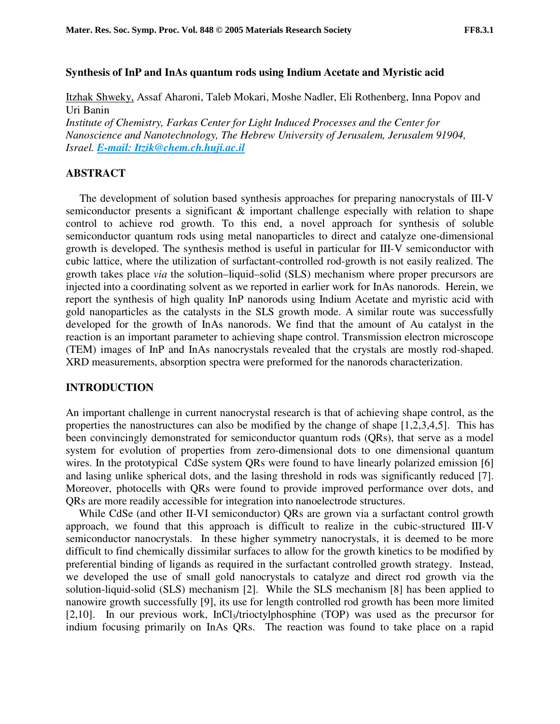#### **Synthesis of InP and InAs quantum rods using Indium Acetate and Myristic acid**

Itzhak Shweky, Assaf Aharoni, Taleb Mokari, Moshe Nadler, Eli Rothenberg, Inna Popov and Uri Banin

*Institute of Chemistry, Farkas Center for Light Induced Processes and the Center for Nanoscience and Nanotechnology, The Hebrew University of Jerusalem, Jerusalem 91904, Israel. E-mail: Itzik@chem.ch.huji.ac.il*

# **ABSTRACT**

 The development of solution based synthesis approaches for preparing nanocrystals of III-V semiconductor presents a significant & important challenge especially with relation to shape control to achieve rod growth. To this end, a novel approach for synthesis of soluble semiconductor quantum rods using metal nanoparticles to direct and catalyze one-dimensional growth is developed. The synthesis method is useful in particular for III-V semiconductor with cubic lattice, where the utilization of surfactant-controlled rod-growth is not easily realized. The growth takes place *via* the solution–liquid–solid (SLS) mechanism where proper precursors are injected into a coordinating solvent as we reported in earlier work for InAs nanorods. Herein, we report the synthesis of high quality InP nanorods using Indium Acetate and myristic acid with gold nanoparticles as the catalysts in the SLS growth mode. A similar route was successfully developed for the growth of InAs nanorods. We find that the amount of Au catalyst in the reaction is an important parameter to achieving shape control. Transmission electron microscope (TEM) images of InP and InAs nanocrystals revealed that the crystals are mostly rod-shaped. XRD measurements, absorption spectra were preformed for the nanorods characterization.

#### **INTRODUCTION**

An important challenge in current nanocrystal research is that of achieving shape control, as the properties the nanostructures can also be modified by the change of shape [1,2,3,4,5]. This has been convincingly demonstrated for semiconductor quantum rods (QRs), that serve as a model system for evolution of properties from zero-dimensional dots to one dimensional quantum wires. In the prototypical CdSe system QRs were found to have linearly polarized emission [6] and lasing unlike spherical dots, and the lasing threshold in rods was significantly reduced [7]. Moreover, photocells with QRs were found to provide improved performance over dots, and QRs are more readily accessible for integration into nanoelectrode structures.

While CdSe (and other II-VI semiconductor) ORs are grown via a surfactant control growth approach, we found that this approach is difficult to realize in the cubic-structured III-V semiconductor nanocrystals. In these higher symmetry nanocrystals, it is deemed to be more difficult to find chemically dissimilar surfaces to allow for the growth kinetics to be modified by preferential binding of ligands as required in the surfactant controlled growth strategy. Instead, we developed the use of small gold nanocrystals to catalyze and direct rod growth via the solution-liquid-solid (SLS) mechanism [2]. While the SLS mechanism [8] has been applied to nanowire growth successfully [9], its use for length controlled rod growth has been more limited [2,10]. In our previous work,  $InCl<sub>3</sub>/triotylphosphine (TOP)$  was used as the precursor for indium focusing primarily on InAs QRs. The reaction was found to take place on a rapid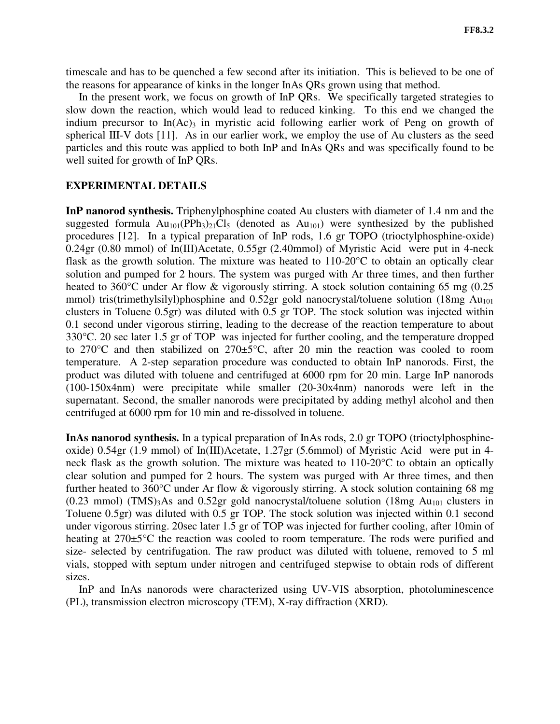timescale and has to be quenched a few second after its initiation. This is believed to be one of the reasons for appearance of kinks in the longer InAs QRs grown using that method.

In the present work, we focus on growth of InP QRs. We specifically targeted strategies to slow down the reaction, which would lead to reduced kinking. To this end we changed the indium precursor to  $In(Ac)$ <sub>3</sub> in myristic acid following earlier work of Peng on growth of spherical III-V dots [11]. As in our earlier work, we employ the use of Au clusters as the seed particles and this route was applied to both InP and InAs QRs and was specifically found to be well suited for growth of InP QRs.

## **EXPERIMENTAL DETAILS**

**InP nanorod synthesis.** Triphenylphosphine coated Au clusters with diameter of 1.4 nm and the suggested formula  $Au_{101}(PPh_3)_{21}Cl_5$  (denoted as  $Au_{101}$ ) were synthesized by the published procedures [12]. In a typical preparation of InP rods, 1.6 gr TOPO (trioctylphosphine-oxide) 0.24gr (0.80 mmol) of In(III)Acetate, 0.55gr (2.40mmol) of Myristic Acid were put in 4-neck flask as the growth solution. The mixture was heated to 110-20 °C to obtain an optically clear solution and pumped for 2 hours. The system was purged with Ar three times, and then further heated to 360°C under Ar flow & vigorously stirring. A stock solution containing 65 mg (0.25) mmol) tris(trimethylsilyl)phosphine and  $0.52$ gr gold nanocrystal/toluene solution (18mg Au<sub>101</sub>) clusters in Toluene 0.5gr) was diluted with 0.5 gr TOP. The stock solution was injected within 0.1 second under vigorous stirring, leading to the decrease of the reaction temperature to about 330°C. 20 sec later 1.5 gr of TOP was injected for further cooling, and the temperature dropped to 270 $^{\circ}$ C and then stabilized on 270 $\pm$ 5 $^{\circ}$ C, after 20 min the reaction was cooled to room temperature. A 2-step separation procedure was conducted to obtain InP nanorods. First, the product was diluted with toluene and centrifuged at 6000 rpm for 20 min. Large InP nanorods (100-150x4nm) were precipitate while smaller (20-30x4nm) nanorods were left in the supernatant. Second, the smaller nanorods were precipitated by adding methyl alcohol and then centrifuged at 6000 rpm for 10 min and re-dissolved in toluene.

**InAs nanorod synthesis.** In a typical preparation of InAs rods, 2.0 gr TOPO (trioctylphosphineoxide) 0.54gr (1.9 mmol) of In(III)Acetate, 1.27gr (5.6mmol) of Myristic Acid were put in 4 neck flask as the growth solution. The mixture was heated to 110-20°C to obtain an optically clear solution and pumped for 2 hours. The system was purged with Ar three times, and then further heated to 360°C under Ar flow & vigorously stirring. A stock solution containing 68 mg  $(0.23 \text{ mmol})$  (TMS)<sub>3</sub>As and 0.52gr gold nanocrystal/toluene solution (18mg Au<sub>101</sub> clusters in Toluene 0.5gr) was diluted with 0.5 gr TOP. The stock solution was injected within 0.1 second under vigorous stirring. 20sec later 1.5 gr of TOP was injected for further cooling, after 10min of heating at 270±5°C the reaction was cooled to room temperature. The rods were purified and size- selected by centrifugation. The raw product was diluted with toluene, removed to 5 ml vials, stopped with septum under nitrogen and centrifuged stepwise to obtain rods of different sizes.

InP and InAs nanorods were characterized using UV-VIS absorption, photoluminescence (PL), transmission electron microscopy (TEM), X-ray diffraction (XRD).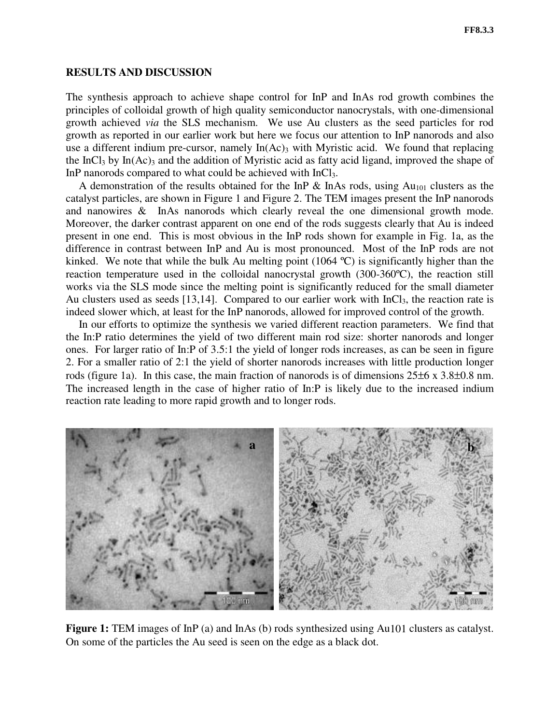### **RESULTS AND DISCUSSION**

The synthesis approach to achieve shape control for InP and InAs rod growth combines the principles of colloidal growth of high quality semiconductor nanocrystals, with one-dimensional growth achieved *via* the SLS mechanism. We use Au clusters as the seed particles for rod growth as reported in our earlier work but here we focus our attention to InP nanorods and also use a different indium pre-cursor, namely  $In(Ac)<sub>3</sub>$  with Myristic acid. We found that replacing the InCl<sub>3</sub> by In(Ac)<sub>3</sub> and the addition of Myristic acid as fatty acid ligand, improved the shape of InP nanorods compared to what could be achieved with InCl<sub>3</sub>.

A demonstration of the results obtained for the InP  $\&$  InAs rods, using Au<sub>101</sub> clusters as the catalyst particles, are shown in Figure 1 and Figure 2. The TEM images present the InP nanorods and nanowires & InAs nanorods which clearly reveal the one dimensional growth mode. Moreover, the darker contrast apparent on one end of the rods suggests clearly that Au is indeed present in one end. This is most obvious in the InP rods shown for example in Fig. 1a, as the difference in contrast between InP and Au is most pronounced. Most of the InP rods are not kinked. We note that while the bulk Au melting point (1064 ºC) is significantly higher than the reaction temperature used in the colloidal nanocrystal growth (300-360ºC), the reaction still works via the SLS mode since the melting point is significantly reduced for the small diameter Au clusters used as seeds  $[13,14]$ . Compared to our earlier work with  $InCl<sub>3</sub>$ , the reaction rate is indeed slower which, at least for the InP nanorods, allowed for improved control of the growth.

In our efforts to optimize the synthesis we varied different reaction parameters. We find that the In:P ratio determines the yield of two different main rod size: shorter nanorods and longer ones. For larger ratio of In:P of 3.5:1 the yield of longer rods increases, as can be seen in figure 2. For a smaller ratio of 2:1 the yield of shorter nanorods increases with little production longer rods (figure 1a). In this case, the main fraction of nanorods is of dimensions 25±6 x 3.8±0.8 nm. The increased length in the case of higher ratio of In:P is likely due to the increased indium reaction rate leading to more rapid growth and to longer rods.



**Figure 1:** TEM images of InP (a) and InAs (b) rods synthesized using Au101 clusters as catalyst. On some of the particles the Au seed is seen on the edge as a black dot.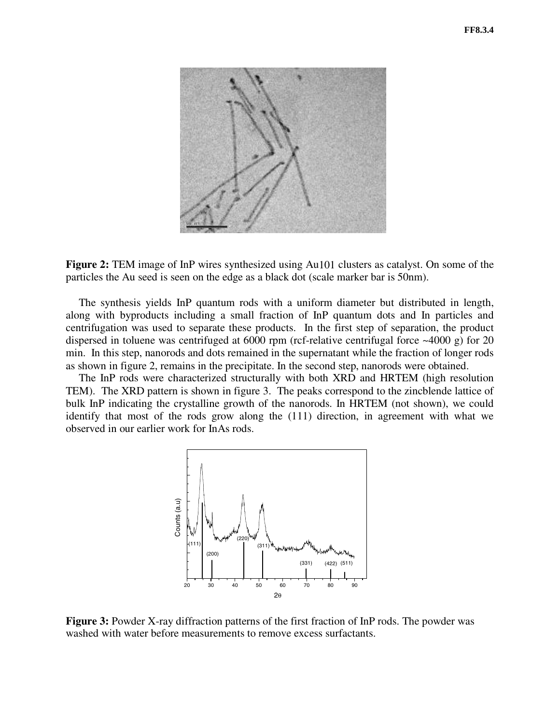

**Figure 2:** TEM image of InP wires synthesized using Au101 clusters as catalyst. On some of the particles the Au seed is seen on the edge as a black dot (scale marker bar is 50nm).

The synthesis yields InP quantum rods with a uniform diameter but distributed in length, along with byproducts including a small fraction of InP quantum dots and In particles and centrifugation was used to separate these products. In the first step of separation, the product dispersed in toluene was centrifuged at 6000 rpm (rcf-relative centrifugal force ~4000 g) for 20 min. In this step, nanorods and dots remained in the supernatant while the fraction of longer rods as shown in figure 2, remains in the precipitate. In the second step, nanorods were obtained.

The InP rods were characterized structurally with both XRD and HRTEM (high resolution TEM). The XRD pattern is shown in figure 3. The peaks correspond to the zincblende lattice of bulk InP indicating the crystalline growth of the nanorods. In HRTEM (not shown), we could identify that most of the rods grow along the (111) direction, in agreement with what we observed in our earlier work for InAs rods.



**Figure 3:** Powder X-ray diffraction patterns of the first fraction of InP rods. The powder was washed with water before measurements to remove excess surfactants.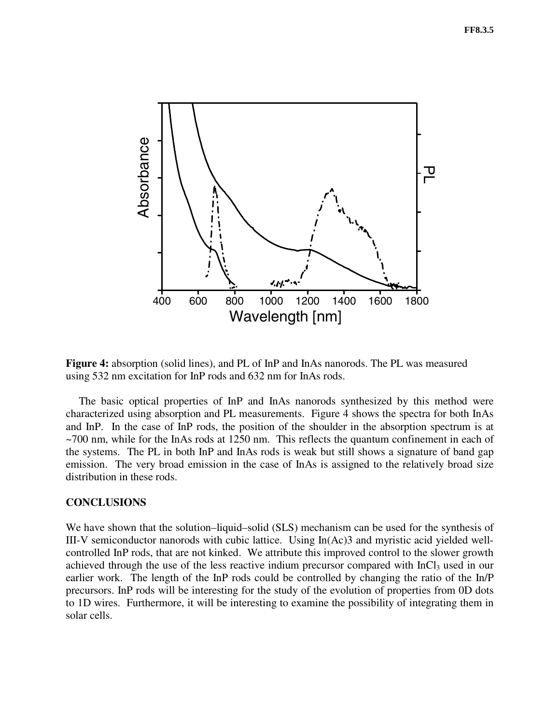

**Figure 4:** absorption (solid lines), and PL of InP and InAs nanorods. The PL was measured using 532 nm excitation for InP rods and 632 nm for InAs rods.

The basic optical properties of InP and InAs nanorods synthesized by this method were characterized using absorption and PL measurements. Figure 4 shows the spectra for both InAs and InP. In the case of InP rods, the position of the shoulder in the absorption spectrum is at  $\sim$ 700 nm, while for the InAs rods at 1250 nm. This reflects the quantum confinement in each of the systems. The PL in both InP and InAs rods is weak but still shows a signature of band gap emission. The very broad emission in the case of InAs is assigned to the relatively broad size distribution in these rods.

### **CONCLUSIONS**

We have shown that the solution–liquid–solid (SLS) mechanism can be used for the synthesis of III-V semiconductor nanorods with cubic lattice. Using In(Ac)3 and myristic acid yielded wellcontrolled InP rods, that are not kinked. We attribute this improved control to the slower growth achieved through the use of the less reactive indium precursor compared with  $InCl<sub>3</sub>$  used in our earlier work. The length of the InP rods could be controlled by changing the ratio of the In/P precursors. InP rods will be interesting for the study of the evolution of properties from 0D dots to 1D wires. Furthermore, it will be interesting to examine the possibility of integrating them in solar cells.